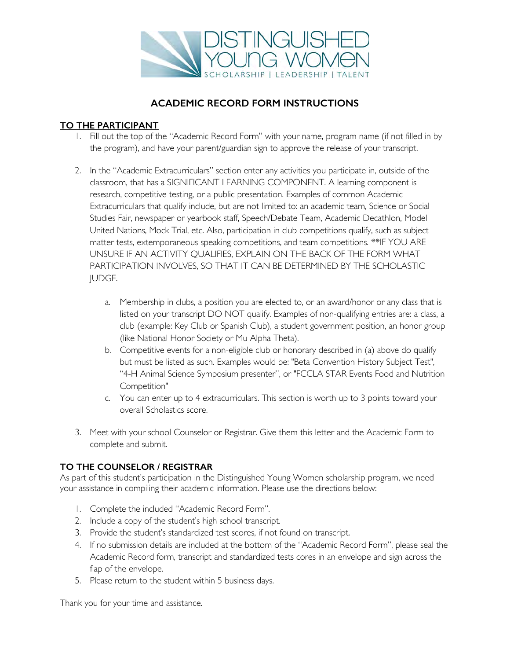

# **ACADEMIC RECORD FORM INSTRUCTIONS**

## **TO THE PARTICIPANT**

- 1. Fill out the top of the "Academic Record Form" with your name, program name (if not filled in by the program), and have your parent/guardian sign to approve the release of your transcript.
- 2. In the "Academic Extracurriculars" section enter any activities you participate in, outside of the classroom, that has a SIGNIFICANT LEARNING COMPONENT. A learning component is research, competitive testing, or a public presentation. Examples of common Academic Extracurriculars that qualify include, but are not limited to: an academic team, Science or Social Studies Fair, newspaper or yearbook staff, Speech/Debate Team, Academic Decathlon, Model United Nations, Mock Trial, etc. Also, participation in club competitions qualify, such as subject matter tests, extemporaneous speaking competitions, and team competitions. \*\*IF YOU ARE UNSURE IF AN ACTIVITY QUALIFIES, EXPLAIN ON THE BACK OF THE FORM WHAT PARTICIPATION INVOLVES, SO THAT IT CAN BE DETERMINED BY THE SCHOLASTIC JUDGE.
	- a. Membership in clubs, a position you are elected to, or an award/honor or any class that is listed on your transcript DO NOT qualify. Examples of non-qualifying entries are: a class, a club (example: Key Club or Spanish Club), a student government position, an honor group (like National Honor Society or Mu Alpha Theta).
	- b. Competitive events for a non-eligible club or honorary described in (a) above do qualify but must be listed as such. Examples would be: "Beta Convention History Subject Test", "4-H Animal Science Symposium presenter", or "FCCLA STAR Events Food and Nutrition Competition"
	- c. You can enter up to 4 extracurriculars. This section is worth up to 3 points toward your overall Scholastics score.
- 3. Meet with your school Counselor or Registrar. Give them this letter and the Academic Form to complete and submit.

### **TO THE COUNSELOR / REGISTRAR**

As part of this student's participation in the Distinguished Young Women scholarship program, we need your assistance in compiling their academic information. Please use the directions below:

- 1. Complete the included "Academic Record Form".
- 2. Include a copy of the student's high school transcript.
- 3. Provide the student's standardized test scores, if not found on transcript.
- 4. If no submission details are included at the bottom of the "Academic Record Form", please seal the Academic Record form, transcript and standardized tests cores in an envelope and sign across the flap of the envelope.
- 5. Please return to the student within 5 business days.

Thank you for your time and assistance.